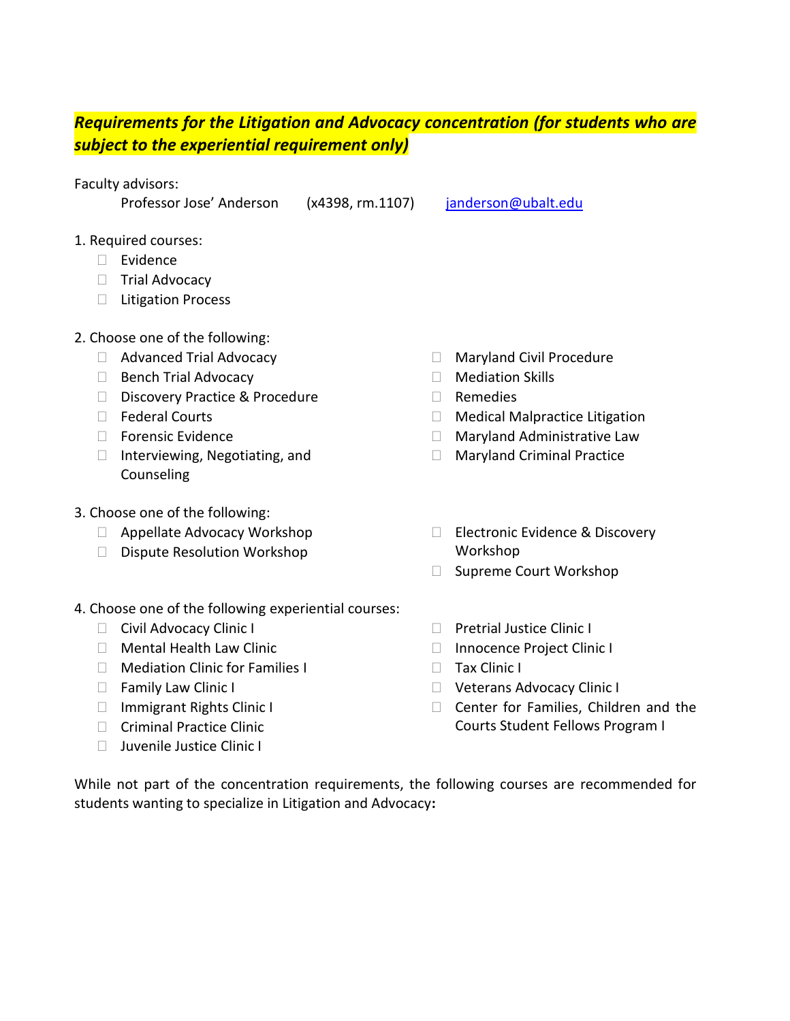## *Requirements for the Litigation and Advocacy concentration (for students who are subject to the experiential requirement only)*

Faculty advisors:

Professor Jose' Anderson (x4398, rm.1107) [janderson@ubalt.edu](mailto:janderson@ubalt.edu?subject=Litigation%20and%20Advocacy%20Concentration)

- 1. Required courses:
	- D Evidence
	- $\Box$  Trial Advocacy
	- □ Litigation Process
- 2. Choose one of the following:
	- □ Advanced Trial Advocacy
	- $\Box$  Bench Trial Advocacy
	- Discovery Practice & Procedure
	- □ Federal Courts
	- $\Box$  Forensic Evidence
	- $\Box$  Interviewing, Negotiating, and Counseling
- 3. Choose one of the following:
	- □ Appellate Advocacy Workshop
	- D Dispute Resolution Workshop
- 4. Choose one of the following experiential courses:
	- □ Civil Advocacy Clinic I
	- Mental Health Law Clinic
	- □ Mediation Clinic for Families I
	- □ Family Law Clinic I
	- □ Immigrant Rights Clinic I
	- □ Criminal Practice Clinic
	- □ Juvenile Justice Clinic I
- □ Maryland Civil Procedure
- $\Box$  Mediation Skills
- Remedies
- □ Medical Malpractice Litigation
- □ Maryland Administrative Law
- □ Maryland Criminal Practice
- Electronic Evidence & Discovery Workshop
- □ Supreme Court Workshop
- □ Pretrial Justice Clinic I
- □ Innocence Project Clinic I
- **Tax Clinic I**
- □ Veterans Advocacy Clinic I
- $\Box$  Center for Families, Children and the Courts Student Fellows Program I

While not part of the concentration requirements, the following courses are recommended for students wanting to specialize in Litigation and Advocacy**:**